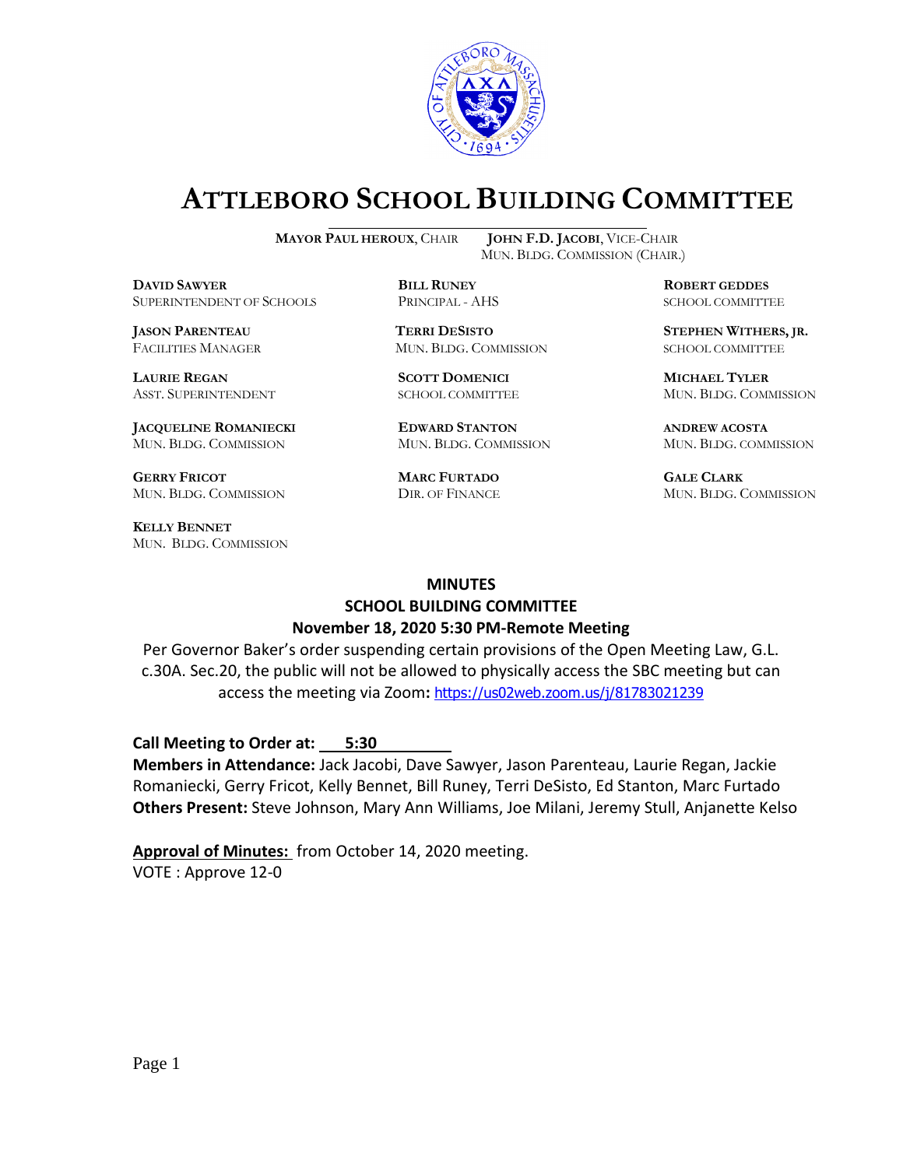

# **ATTLEBORO SCHOOL BUILDING COMMITTEE**

**DDAWYER BILL RUNEY ROBERT GEDDES** SUPERINTENDENT OF SCHOOLS PRINCIPAL - AHS SCHOOL COMMITTEE

**LAURIE REGAN SCOTT DOMENICI MICHAEL TYLER**

**JACQUELINE ROMANIECKI EDWARD STANTON ANDREW ACOSTA** MUN. BLDG. COMMISSION MUN. BLDG. COMMISSION MUN. BLDG. COMMISSION

**GERRY FRICOT MARC FURTADO GALE CLARK** MUN. BLDG. COMMISSION DIR. OF FINANCE MUN. BLDG. COMMISSION

**KELLY BENNET** MUN. BLDG. COMMISSION

**MAYOR PAUL HEROUX**, CHAIR **JOHN F.D. JACOBI**, VICE-CHAIR MUN. BLDG. COMMISSION (CHAIR.)

FACILITIES MANAGER MUN. BLDG. COMMISSION SCHOOL COMMITTEE

**JASON PARENTEAU TERRI DESISTO STEPHEN WITHERS, JR.**

ASST. SUPERINTENDENT SCHOOL COMMITTEE MUN. BLDG. COMMISSION

#### **MINUTES**

# **SCHOOL BUILDING COMMITTEE November 18, 2020 5:30 PM-Remote Meeting**

Per Governor Baker's order suspending certain provisions of the Open Meeting Law, G.L. c.30A. Sec.20, the public will not be allowed to physically access the SBC meeting but can access the meeting via Zoom**:** <https://us02web.zoom.us/j/81783021239>

**Call Meeting to Order at: 5:30** 

**Members in Attendance:** Jack Jacobi, Dave Sawyer, Jason Parenteau, Laurie Regan, Jackie Romaniecki, Gerry Fricot, Kelly Bennet, Bill Runey, Terri DeSisto, Ed Stanton, Marc Furtado **Others Present:** Steve Johnson, Mary Ann Williams, Joe Milani, Jeremy Stull, Anjanette Kelso

**Approval of Minutes:** from October 14, 2020 meeting. VOTE : Approve 12-0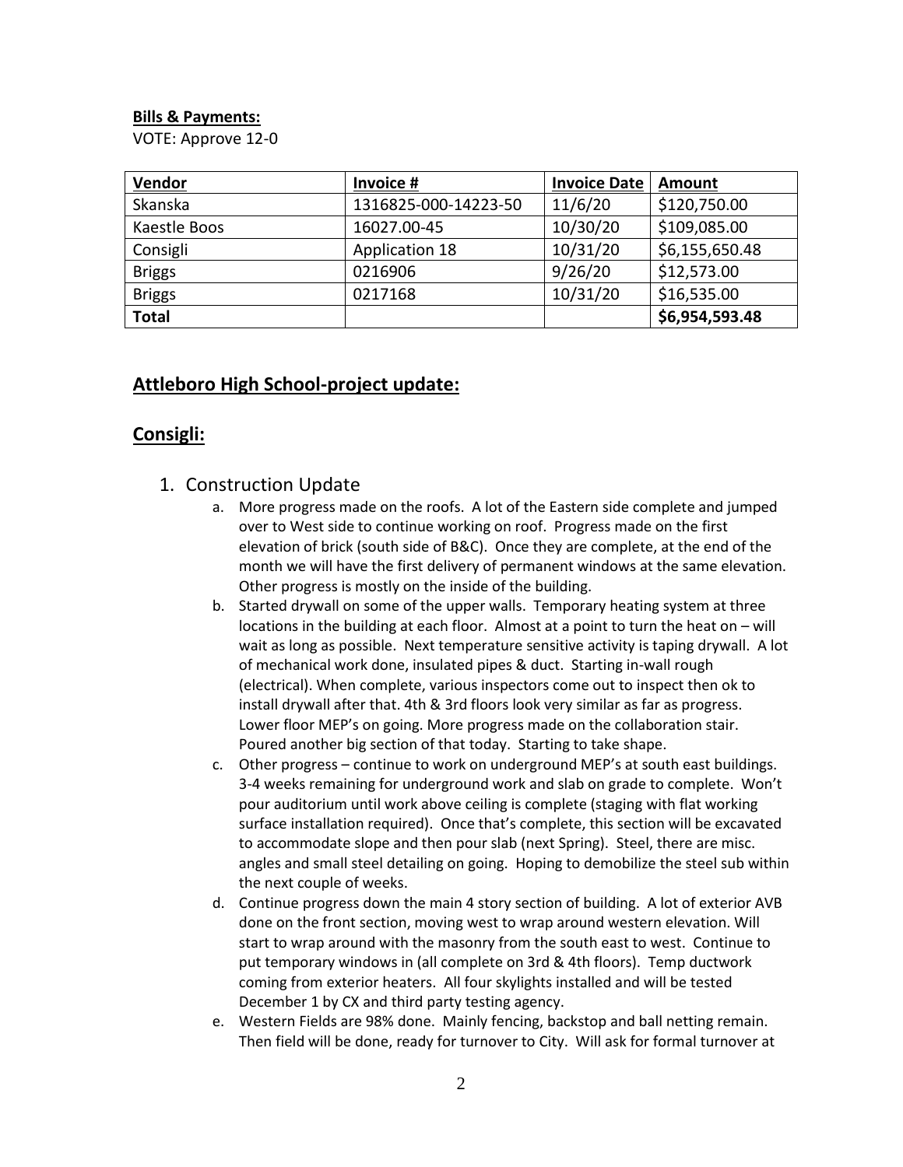#### **Bills & Payments:**

VOTE: Approve 12-0

| <b>Vendor</b> | Invoice #            | <b>Invoice Date</b> | Amount         |
|---------------|----------------------|---------------------|----------------|
| Skanska       | 1316825-000-14223-50 | 11/6/20             | \$120,750.00   |
| Kaestle Boos  | 16027.00-45          | 10/30/20            | \$109,085.00   |
| Consigli      | Application 18       | 10/31/20            | \$6,155,650.48 |
| <b>Briggs</b> | 0216906              | 9/26/20             | \$12,573.00    |
| <b>Briggs</b> | 0217168              | 10/31/20            | \$16,535.00    |
| <b>Total</b>  |                      |                     | \$6,954,593.48 |

### **Attleboro High School-project update:**

# **Consigli:**

- 1. Construction Update
	- a. More progress made on the roofs. A lot of the Eastern side complete and jumped over to West side to continue working on roof. Progress made on the first elevation of brick (south side of B&C). Once they are complete, at the end of the month we will have the first delivery of permanent windows at the same elevation. Other progress is mostly on the inside of the building.
	- b. Started drywall on some of the upper walls. Temporary heating system at three locations in the building at each floor. Almost at a point to turn the heat on – will wait as long as possible. Next temperature sensitive activity is taping drywall. A lot of mechanical work done, insulated pipes & duct. Starting in-wall rough (electrical). When complete, various inspectors come out to inspect then ok to install drywall after that. 4th & 3rd floors look very similar as far as progress. Lower floor MEP's on going. More progress made on the collaboration stair. Poured another big section of that today. Starting to take shape.
	- c. Other progress continue to work on underground MEP's at south east buildings. 3-4 weeks remaining for underground work and slab on grade to complete. Won't pour auditorium until work above ceiling is complete (staging with flat working surface installation required). Once that's complete, this section will be excavated to accommodate slope and then pour slab (next Spring). Steel, there are misc. angles and small steel detailing on going. Hoping to demobilize the steel sub within the next couple of weeks.
	- d. Continue progress down the main 4 story section of building. A lot of exterior AVB done on the front section, moving west to wrap around western elevation. Will start to wrap around with the masonry from the south east to west. Continue to put temporary windows in (all complete on 3rd & 4th floors). Temp ductwork coming from exterior heaters. All four skylights installed and will be tested December 1 by CX and third party testing agency.
	- e. Western Fields are 98% done. Mainly fencing, backstop and ball netting remain. Then field will be done, ready for turnover to City. Will ask for formal turnover at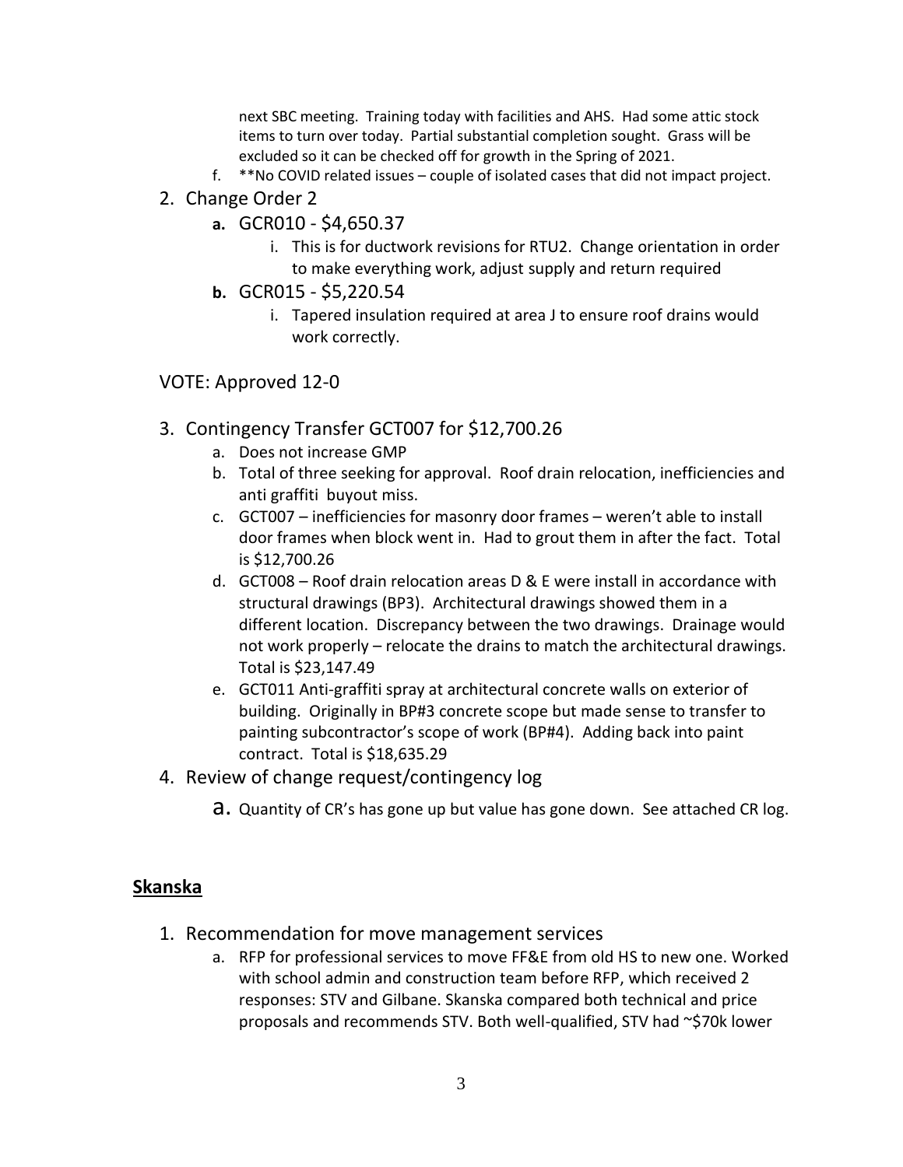next SBC meeting. Training today with facilities and AHS. Had some attic stock items to turn over today. Partial substantial completion sought. Grass will be excluded so it can be checked off for growth in the Spring of 2021.

- f. \*\*No COVID related issues couple of isolated cases that did not impact project.
- 2. Change Order 2
	- **a.** GCR010 \$4,650.37
		- i. This is for ductwork revisions for RTU2. Change orientation in order to make everything work, adjust supply and return required
	- **b.** GCR015 \$5,220.54
		- i. Tapered insulation required at area J to ensure roof drains would work correctly.
- VOTE: Approved 12-0
- 3. Contingency Transfer GCT007 for \$12,700.26
	- a. Does not increase GMP
	- b. Total of three seeking for approval. Roof drain relocation, inefficiencies and anti graffiti buyout miss.
	- c. GCT007 inefficiencies for masonry door frames weren't able to install door frames when block went in. Had to grout them in after the fact. Total is \$12,700.26
	- d. GCT008 Roof drain relocation areas D & E were install in accordance with structural drawings (BP3). Architectural drawings showed them in a different location. Discrepancy between the two drawings. Drainage would not work properly – relocate the drains to match the architectural drawings. Total is \$23,147.49
	- e. GCT011 Anti-graffiti spray at architectural concrete walls on exterior of building. Originally in BP#3 concrete scope but made sense to transfer to painting subcontractor's scope of work (BP#4). Adding back into paint contract. Total is \$18,635.29
- 4. Review of change request/contingency log
	- **a.** Quantity of CR's has gone up but value has gone down. See attached CR log.

## **Skanska**

- 1. Recommendation for move management services
	- a. RFP for professional services to move FF&E from old HS to new one. Worked with school admin and construction team before RFP, which received 2 responses: STV and Gilbane. Skanska compared both technical and price proposals and recommends STV. Both well-qualified, STV had ~\$70k lower